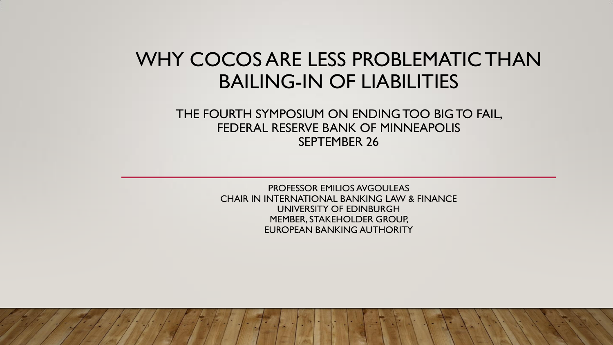# WHY COCOS ARE LESS PROBLEMATIC THAN BAILING-IN OF LIABILITIES

#### THE FOURTH SYMPOSIUM ON ENDING TOO BIG TO FAIL, FEDERAL RESERVE BANK OF MINNEAPOLIS SEPTEMBER 26

PROFESSOR EMILIOS AVGOULEAS CHAIR IN INTERNATIONAL BANKING LAW & FINANCE UNIVERSITY OF EDINBURGH MEMBER, STAKEHOLDER GROUP, EUROPEAN BANKING AUTHORITY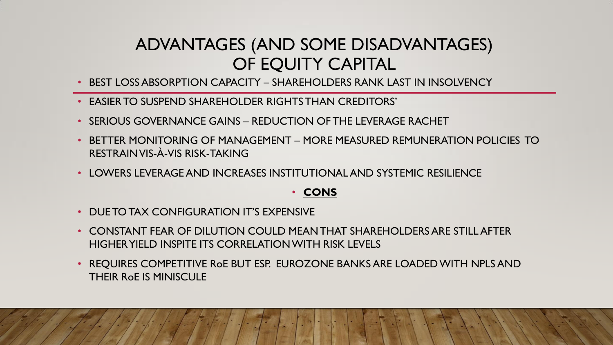## ADVANTAGES (AND SOME DISADVANTAGES) OF EQUITY CAPITAL

- BEST LOSS ABSORPTION CAPACITY SHARFHOLDERS RANK LAST IN INSOLVENCY
- EASIER TO SUSPEND SHAREHOLDER RIGHTS THAN CREDITORS'
- SERIOUS GOVERNANCE GAINS REDUCTION OF THE LEVERAGE RACHET
- BETTER MONITORING OF MANAGEMENT MORE MEASURED REMUNERATION POLICIES TO RESTRAIN VIS-À-VIS RISK-TAKING
- LOWERS LEVERAGE AND INCREASES INSTITUTIONAL AND SYSTEMIC RESILIENCE

#### • **CONS**

- DUE TO TAX CONFIGURATION IT'S EXPENSIVE
- CONSTANT FEAR OF DILUTION COULD MEAN THAT SHAREHOLDERS ARE STILL AFTER HIGHER YIELD INSPITE ITS CORRELATION WITH RISK LEVELS
- REQUIRES COMPETITIVE RoE BUT ESP. EUROZONE BANKS ARE LOADED WITH NPLS AND THEIR RoE IS MINISCULE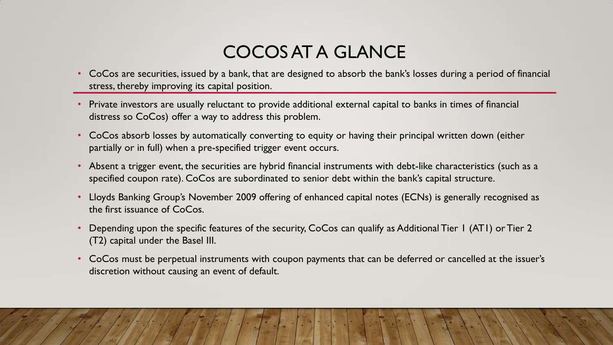# COCOS AT A GLANCE

- CoCos are securities, issued by a bank, that are designed to absorb the bank's losses during a period of financial stress, thereby improving its capital position.
- Private investors are usually reluctant to provide additional external capital to banks in times of financial distress so CoCos) offer a way to address this problem.
- CoCos absorb losses by automatically converting to equity or having their principal written down (either partially or in full) when a pre-specified trigger event occurs.
- Absent a trigger event, the securities are hybrid financial instruments with debt-like characteristics (such as a specified coupon rate). CoCos are subordinated to senior debt within the bank's capital structure.
- Lloyds Banking Group's November 2009 offering of enhanced capital notes (ECNs) is generally recognised as the first issuance of CoCos.
- Depending upon the specific features of the security, CoCos can qualify as Additional Tier 1 (AT1) or Tier 2 (T2) capital under the Basel III.
- CoCos must be perpetual instruments with coupon payments that can be deferred or cancelled at the issuer's discretion without causing an event of default.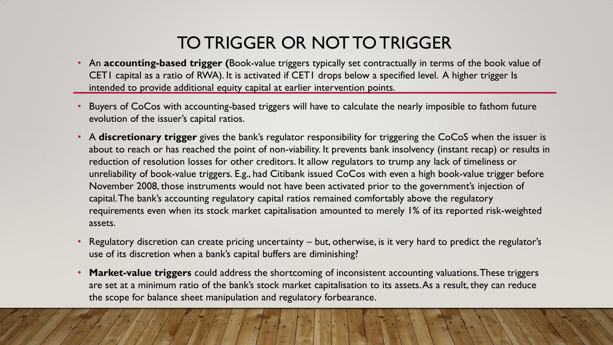## TO TRIGGER OR NOT TO TRIGGER

- An **accounting-based trigger (**Book-value triggers typically set contractually in terms of the book value of CET1 capital as a ratio of RWA). It is activated if CET1 drops below a specified level. A higher trigger Is intended to provide additional equity capital at earlier intervention points.
- Buyers of CoCos with accounting-based triggers will have to calculate the nearly imposible to fathom future evolution of the issuer's capital ratios.
- A **discretionary trigger** gives the bank's regulator responsibility for triggering the CoCoS when the issuer is about to reach or has reached the point of non-viability. It prevents bank insolvency (instant recap) or results in reduction of resolution losses for other creditors. It allow regulators to trump any lack of timeliness or unreliability of book-value triggers. E.g., had Citibank issued CoCos with even a high book-value trigger before November 2008, those instruments would not have been activated prior to the government's injection of capital. The bank's accounting regulatory capital ratios remained comfortably above the regulatory requirements even when its stock market capitalisation amounted to merely 1% of its reported risk-weighted assets.
- Regulatory discretion can create pricing uncertainty but, otherwise, is it very hard to predict the regulator's use of its discretion when a bank's capital buffers are diminishing?
- **Market-value triggers** could address the shortcoming of inconsistent accounting valuations. These triggers are set at a minimum ratio of the bank's stock market capitalisation to its assets. As a result, they can reduce the scope for balance sheet manipulation and regulatory forbearance.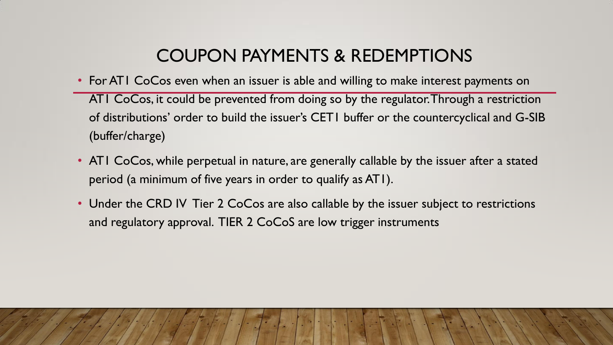# COUPON PAYMENTS & REDEMPTIONS

- For AT1 CoCos even when an issuer is able and willing to make interest payments on AT1 CoCos, it could be prevented from doing so by the regulator. Through a restriction of distributions' order to build the issuer's CET1 buffer or the countercyclical and G-SIB (buffer/charge)
- ATI CoCos, while perpetual in nature, are generally callable by the issuer after a stated period (a minimum of five years in order to qualify as AT1).
- Under the CRD IV Tier 2 CoCos are also callable by the issuer subject to restrictions and regulatory approval. TIER 2 CoCoS are low trigger instruments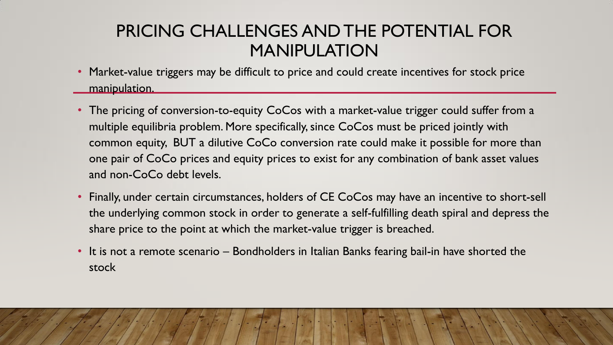## PRICING CHALLENGES AND THE POTENTIAL FOR MANIPULATION

- Market-value triggers may be difficult to price and could create incentives for stock price manipulation.
- The pricing of conversion-to-equity CoCos with a market-value trigger could suffer from a multiple equilibria problem. More specifically, since CoCos must be priced jointly with common equity, BUT a dilutive CoCo conversion rate could make it possible for more than one pair of CoCo prices and equity prices to exist for any combination of bank asset values and non-CoCo debt levels.
- Finally, under certain circumstances, holders of CE CoCos may have an incentive to short-sell the underlying common stock in order to generate a self-fulfilling death spiral and depress the share price to the point at which the market-value trigger is breached.
- It is not a remote scenario Bondholders in Italian Banks fearing bail-in have shorted the stock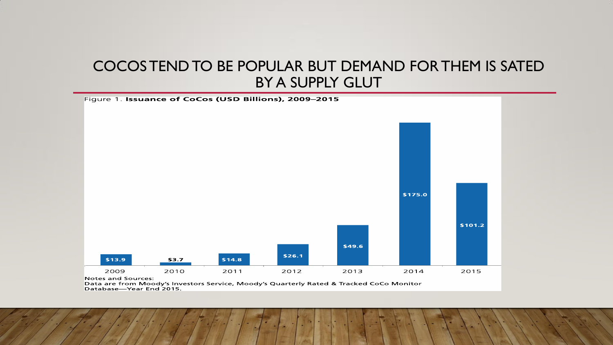#### COCOS TEND TO BE POPULAR BUT DEMAND FOR THEM IS SATED BY A SUPPLY GLUT



Data are from Moody's Investors Service, Moody's Quarterly Rated & Tracked CoCo Monitor Database-Year End 2015.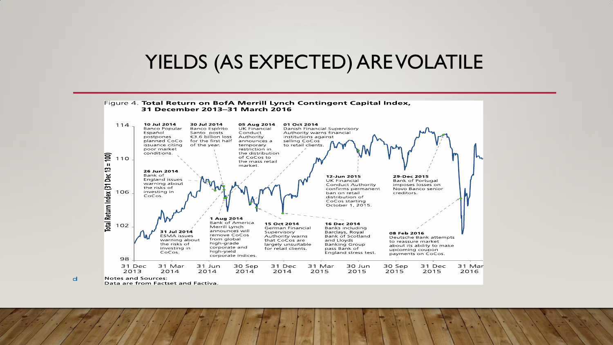## YIELDS (AS EXPECTED) ARE VOLATILE



 $\mathbf d$ 

Data are from Factset and Factiva.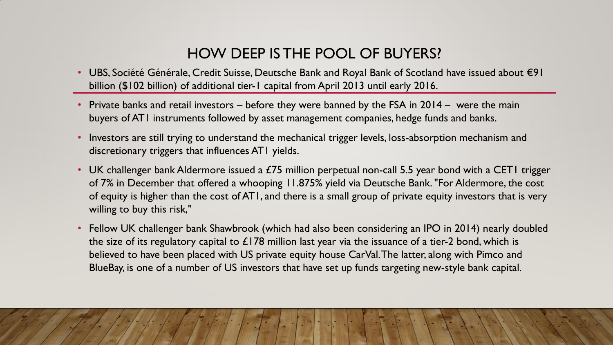#### HOW DEEP IS THE POOL OF BUYERS?

- UBS, Société Générale, Credit Suisse, Deutsche Bank and Royal Bank of Scotland have issued about €91 billion (\$102 billion) of additional tier-1 capital from April 2013 until early 2016.
- Private banks and retail investors before they were banned by the FSA in 2014 were the main buyers of AT1 instruments followed by asset management companies, hedge funds and banks.
- Investors are still trying to understand the mechanical trigger levels, loss-absorption mechanism and discretionary triggers that influences AT1 yields.
- UK challenger bank Aldermore issued a £75 million perpetual non-call 5.5 year bond with a CET1 trigger of 7% in December that offered a whooping 11.875% yield via Deutsche Bank. "For Aldermore, the cost of equity is higher than the cost of AT1, and there is a small group of private equity investors that is very willing to buy this risk,"
- Fellow UK challenger bank Shawbrook (which had also been considering an IPO in 2014) nearly doubled the size of its regulatory capital to  $£178$  million last year via the issuance of a tier-2 bond, which is believed to have been placed with US private equity house CarVal. The latter, along with Pimco and BlueBay, is one of a number of US investors that have set up funds targeting new-style bank capital.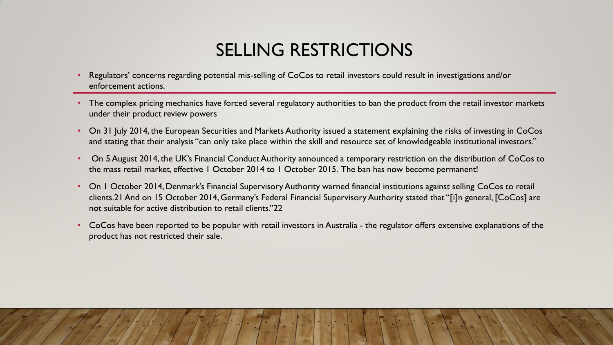# SELLING RESTRICTIONS

- Regulators' concerns regarding potential mis-selling of CoCos to retail investors could result in investigations and/or enforcement actions.
- The complex pricing mechanics have forced several regulatory authorities to ban the product from the retail investor markets under their product review powers
- On 31 July 2014, the European Securities and Markets Authority issued a statement explaining the risks of investing in CoCos and stating that their analysis "can only take place within the skill and resource set of knowledgeable institutional investors."
- On 5 August 2014, the UK's Financial Conduct Authority announced a temporary restriction on the distribution of CoCos to the mass retail market, effective 1 October 2014 to 1 October 2015. The ban has now become permanent!
- On 1 October 2014, Denmark's Financial Supervisory Authority warned financial institutions against selling CoCos to retail clients.21 And on 15 October 2014, Germany's Federal Financial Supervisory Authority stated that "[i]n general, [CoCos] are not suitable for active distribution to retail clients."22
- CoCos have been reported to be popular with retail investors in Australia the regulator offers extensive explanations of the product has not restricted their sale.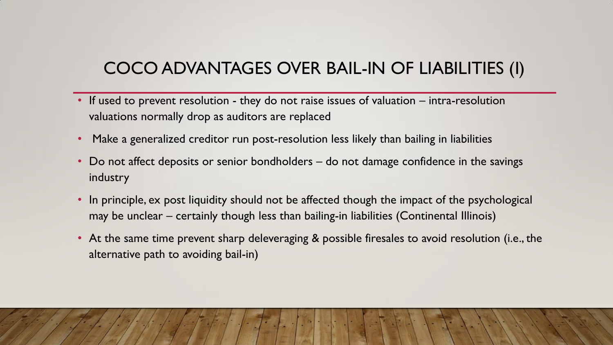## COCO ADVANTAGES OVER BAIL-IN OF LIABILITIES (I)

- If used to prevent resolution they do not raise issues of valuation intra-resolution valuations normally drop as auditors are replaced
- Make a generalized creditor run post-resolution less likely than bailing in liabilities
- Do not affect deposits or senior bondholders do not damage confidence in the savings industry
- In principle, ex post liquidity should not be affected though the impact of the psychological may be unclear – certainly though less than bailing-in liabilities (Continental Illinois)
- At the same time prevent sharp deleveraging & possible firesales to avoid resolution (i.e., the alternative path to avoiding bail-in)